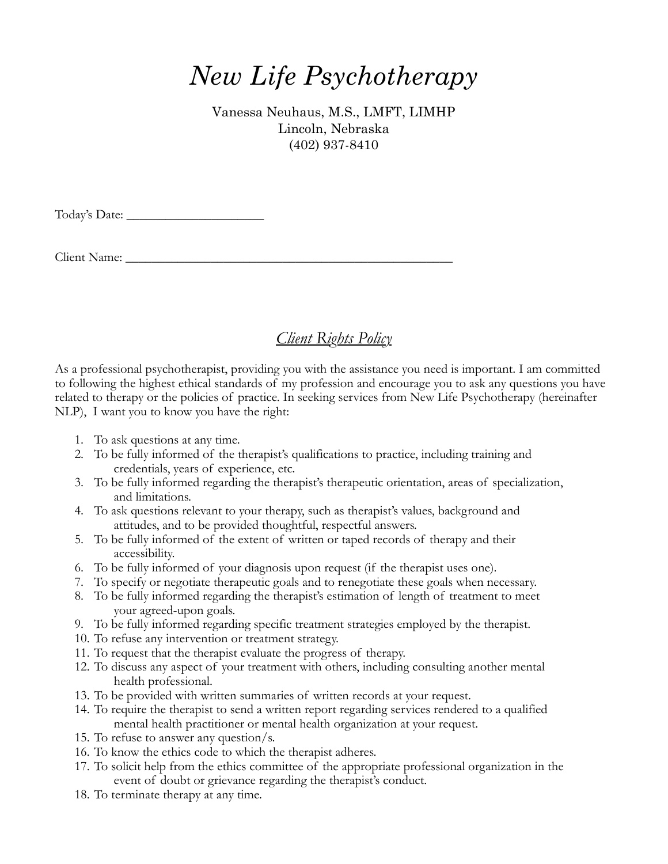Vanessa Neuhaus, M.S., LMFT, LIMHP Lincoln, Nebraska (402) 937-8410

Today's Date: \_\_\_\_\_\_\_\_\_\_\_\_\_\_\_\_\_\_\_\_\_

Client Name:

*Client Rights Policy*

As a professional psychotherapist, providing you with the assistance you need is important. I am committed to following the highest ethical standards of my profession and encourage you to ask any questions you have related to therapy or the policies of practice. In seeking services from New Life Psychotherapy (hereinafter NLP), I want you to know you have the right:

- 1. To ask questions at any time.
- 2. To be fully informed of the therapist's qualifications to practice, including training and credentials, years of experience, etc.
- 3. To be fully informed regarding the therapist's therapeutic orientation, areas of specialization, and limitations.
- 4. To ask questions relevant to your therapy, such as therapist's values, background and attitudes, and to be provided thoughtful, respectful answers.
- 5. To be fully informed of the extent of written or taped records of therapy and their accessibility.
- 6. To be fully informed of your diagnosis upon request (if the therapist uses one).
- 7. To specify or negotiate therapeutic goals and to renegotiate these goals when necessary.
- 8. To be fully informed regarding the therapist's estimation of length of treatment to meet your agreed-upon goals.
- 9. To be fully informed regarding specific treatment strategies employed by the therapist.
- 10. To refuse any intervention or treatment strategy.
- 11. To request that the therapist evaluate the progress of therapy.
- 12. To discuss any aspect of your treatment with others, including consulting another mental health professional.
- 13. To be provided with written summaries of written records at your request.
- 14. To require the therapist to send a written report regarding services rendered to a qualified mental health practitioner or mental health organization at your request.
- 15. To refuse to answer any question/s.
- 16. To know the ethics code to which the therapist adheres.
- 17. To solicit help from the ethics committee of the appropriate professional organization in the event of doubt or grievance regarding the therapist's conduct.
- 18. To terminate therapy at any time.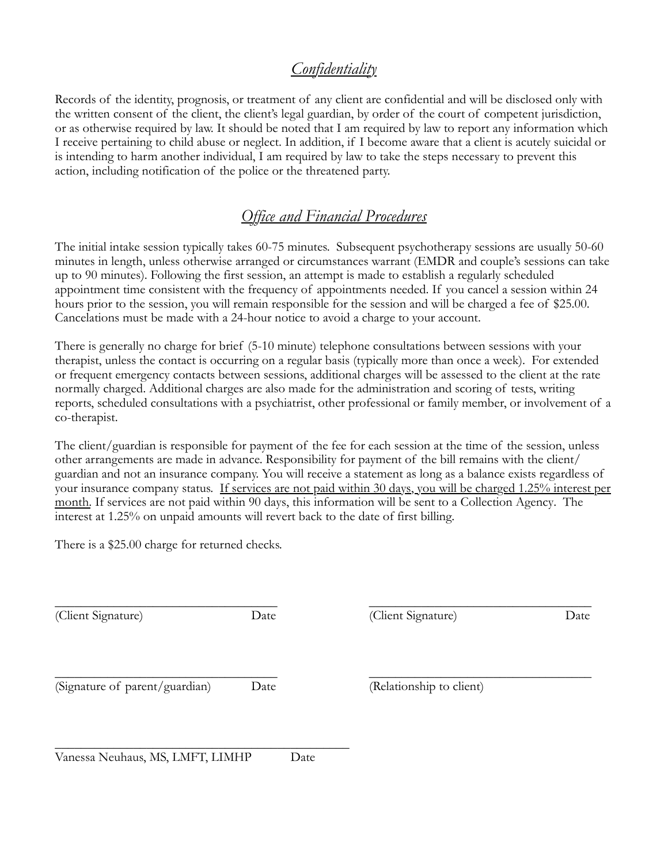### *Confidentiality*

Records of the identity, prognosis, or treatment of any client are confidential and will be disclosed only with the written consent of the client, the client's legal guardian, by order of the court of competent jurisdiction, or as otherwise required by law. It should be noted that I am required by law to report any information which I receive pertaining to child abuse or neglect. In addition, if I become aware that a client is acutely suicidal or is intending to harm another individual, I am required by law to take the steps necessary to prevent this action, including notification of the police or the threatened party.

### *Office and Financial Procedures*

The initial intake session typically takes 60-75 minutes. Subsequent psychotherapy sessions are usually 50-60 minutes in length, unless otherwise arranged or circumstances warrant (EMDR and couple's sessions can take up to 90 minutes). Following the first session, an attempt is made to establish a regularly scheduled appointment time consistent with the frequency of appointments needed. If you cancel a session within 24 hours prior to the session, you will remain responsible for the session and will be charged a fee of \$25.00. Cancelations must be made with a 24-hour notice to avoid a charge to your account.

There is generally no charge for brief (5-10 minute) telephone consultations between sessions with your therapist, unless the contact is occurring on a regular basis (typically more than once a week). For extended or frequent emergency contacts between sessions, additional charges will be assessed to the client at the rate normally charged. Additional charges are also made for the administration and scoring of tests, writing reports, scheduled consultations with a psychiatrist, other professional or family member, or involvement of a co-therapist.

The client/guardian is responsible for payment of the fee for each session at the time of the session, unless other arrangements are made in advance. Responsibility for payment of the bill remains with the client/ guardian and not an insurance company. You will receive a statement as long as a balance exists regardless of your insurance company status. If services are not paid within 30 days, you will be charged 1.25% interest per month. If services are not paid within 90 days, this information will be sent to a Collection Agency. The interest at 1.25% on unpaid amounts will revert back to the date of first billing.

\_\_\_\_\_\_\_\_\_\_\_\_\_\_\_\_\_\_\_\_\_\_\_\_\_\_\_\_\_\_\_\_\_\_ \_\_\_\_\_\_\_\_\_\_\_\_\_\_\_\_\_\_\_\_\_\_\_\_\_\_\_\_\_\_\_\_\_\_

There is a \$25.00 charge for returned checks.

(Client Signature) Date (Client Signature) Date

 $\overline{\phantom{a}}$  , and the contract of the contract of the contract of the contract of the contract of the contract of the contract of the contract of the contract of the contract of the contract of the contract of the contrac

(Signature of parent/guardian) Date (Relationship to client)

Vanessa Neuhaus, MS, LMFT, LIMHP Date

\_\_\_\_\_\_\_\_\_\_\_\_\_\_\_\_\_\_\_\_\_\_\_\_\_\_\_\_\_\_\_\_\_\_\_\_\_\_\_\_\_\_\_\_\_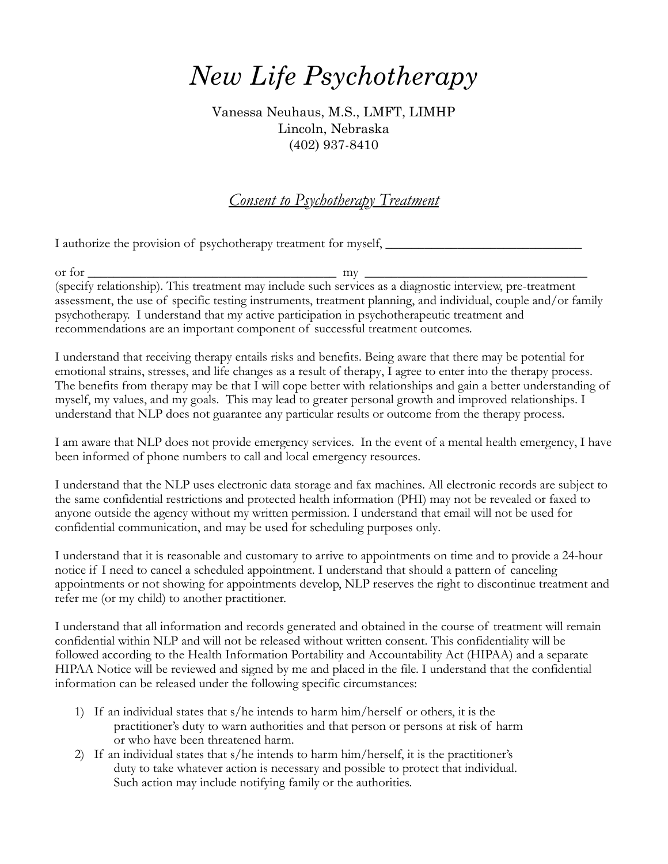Vanessa Neuhaus, M.S., LMFT, LIMHP Lincoln, Nebraska (402) 937-8410

## *Consent to Psychotherapy Treatment*

I authorize the provision of psychotherapy treatment for myself, \_\_\_\_\_\_\_\_\_\_\_\_\_\_\_\_

or for  $\frac{1}{\sqrt{2}}$  my  $\frac{1}{\sqrt{2}}$  my  $\frac{1}{\sqrt{2}}$ (specify relationship). This treatment may include such services as a diagnostic interview, pre-treatment assessment, the use of specific testing instruments, treatment planning, and individual, couple and/or family psychotherapy. I understand that my active participation in psychotherapeutic treatment and recommendations are an important component of successful treatment outcomes.

I understand that receiving therapy entails risks and benefits. Being aware that there may be potential for emotional strains, stresses, and life changes as a result of therapy, I agree to enter into the therapy process. The benefits from therapy may be that I will cope better with relationships and gain a better understanding of myself, my values, and my goals. This may lead to greater personal growth and improved relationships. I understand that NLP does not guarantee any particular results or outcome from the therapy process.

I am aware that NLP does not provide emergency services. In the event of a mental health emergency, I have been informed of phone numbers to call and local emergency resources.

I understand that the NLP uses electronic data storage and fax machines. All electronic records are subject to the same confidential restrictions and protected health information (PHI) may not be revealed or faxed to anyone outside the agency without my written permission. I understand that email will not be used for confidential communication, and may be used for scheduling purposes only.

I understand that it is reasonable and customary to arrive to appointments on time and to provide a 24-hour notice if I need to cancel a scheduled appointment. I understand that should a pattern of canceling appointments or not showing for appointments develop, NLP reserves the right to discontinue treatment and refer me (or my child) to another practitioner.

I understand that all information and records generated and obtained in the course of treatment will remain confidential within NLP and will not be released without written consent. This confidentiality will be followed according to the Health Information Portability and Accountability Act (HIPAA) and a separate HIPAA Notice will be reviewed and signed by me and placed in the file. I understand that the confidential information can be released under the following specific circumstances:

- 1) If an individual states that s/he intends to harm him/herself or others, it is the practitioner's duty to warn authorities and that person or persons at risk of harm or who have been threatened harm.
- 2) If an individual states that s/he intends to harm him/herself, it is the practitioner's duty to take whatever action is necessary and possible to protect that individual. Such action may include notifying family or the authorities.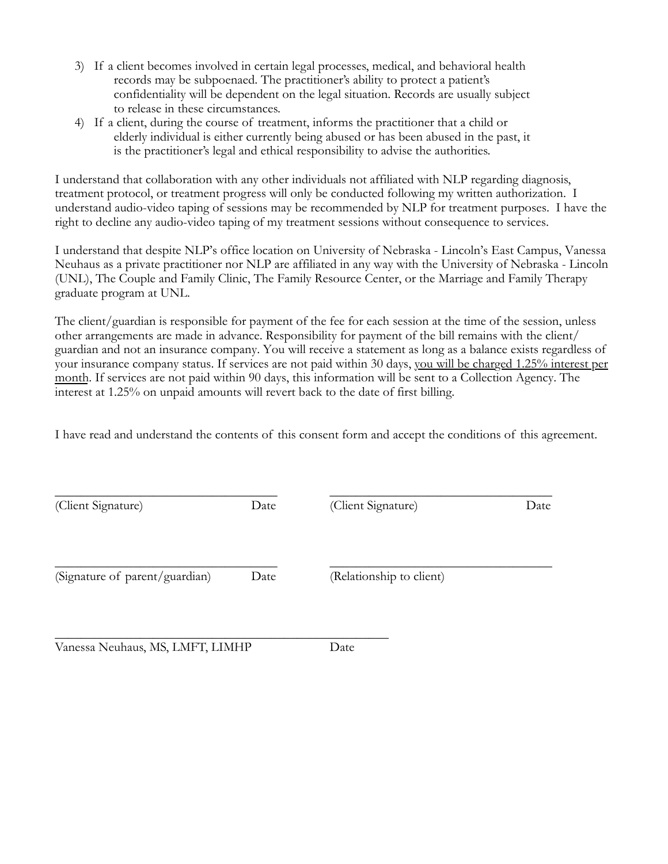- 3) If a client becomes involved in certain legal processes, medical, and behavioral health records may be subpoenaed. The practitioner's ability to protect a patient's confidentiality will be dependent on the legal situation. Records are usually subject to release in these circumstances.
- 4) If a client, during the course of treatment, informs the practitioner that a child or elderly individual is either currently being abused or has been abused in the past, it is the practitioner's legal and ethical responsibility to advise the authorities.

I understand that collaboration with any other individuals not affiliated with NLP regarding diagnosis, treatment protocol, or treatment progress will only be conducted following my written authorization.I understand audio-video taping of sessions may be recommended by NLP for treatment purposes. I have the right to decline any audio-video taping of my treatment sessions without consequence to services.

I understand that despite NLP's office location on University of Nebraska - Lincoln's East Campus, Vanessa Neuhaus as a private practitioner nor NLP are affiliated in any way with the University of Nebraska - Lincoln (UNL), The Couple and Family Clinic, The Family Resource Center, or the Marriage and Family Therapy graduate program at UNL.

The client/guardian is responsible for payment of the fee for each session at the time of the session, unless other arrangements are made in advance. Responsibility for payment of the bill remains with the client/ guardian and not an insurance company. You will receive a statement as long as a balance exists regardless of your insurance company status. If services are not paid within 30 days, you will be charged 1.25% interest per month. If services are not paid within 90 days, this information will be sent to a Collection Agency. The interest at 1.25% on unpaid amounts will revert back to the date of first billing.

I have read and understand the contents of this consent form and accept the conditions of this agreement.

| (Client Signature)               | Date | (Client Signature)       | Date |
|----------------------------------|------|--------------------------|------|
| (Signature of parent/guardian)   | Date | (Relationship to client) |      |
| Vanessa Neuhaus, MS, LMFT, LIMHP |      | Date                     |      |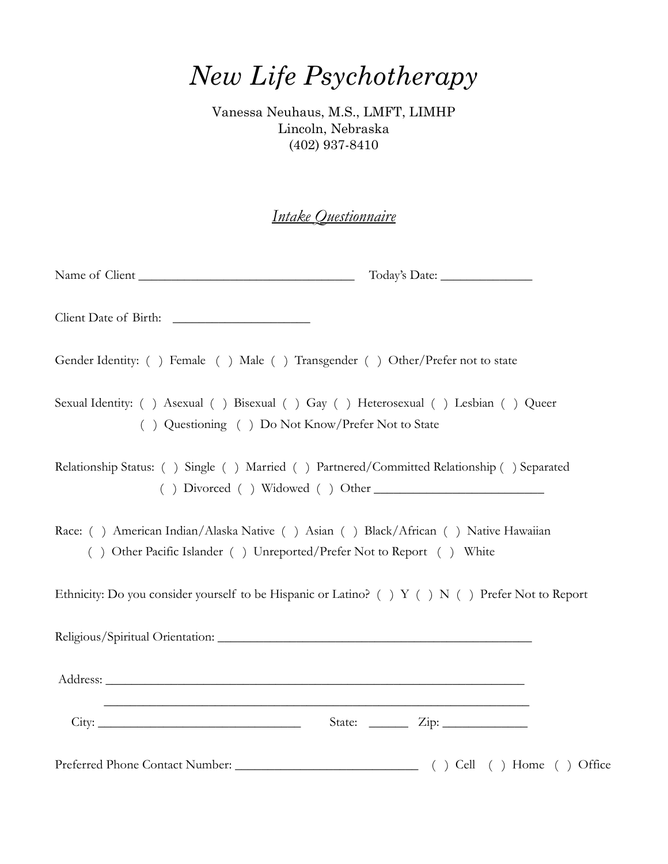Vanessa Neuhaus, M.S., LMFT, LIMHP Lincoln, Nebraska (402) 937-8410

*Intake Questionnaire*

Name of Client Letter that the state of Client Letter and Today's Date:

Client Date of Birth:

Gender Identity: ( ) Female ( ) Male ( ) Transgender ( ) Other/Prefer not to state

Sexual Identity: ( ) Asexual ( ) Bisexual ( ) Gay ( ) Heterosexual ( ) Lesbian ( ) Queer ( ) Questioning ( ) Do Not Know/Prefer Not to State

Relationship Status: ( ) Single ( ) Married ( ) Partnered/Committed Relationship ( ) Separated ( ) Divorced ( ) Widowed ( ) Other

Race: ( ) American Indian/Alaska Native ( ) Asian ( ) Black/African ( ) Native Hawaiian ( ) Other Pacific Islander ( ) Unreported/Prefer Not to Report ( ) White

Ethnicity: Do you consider yourself to be Hispanic or Latino? () Y () N () Prefer Not to Report

| City: | State: $\frac{\text{Cip:}}{\text{Cip:}}$ |  |
|-------|------------------------------------------|--|
|       |                                          |  |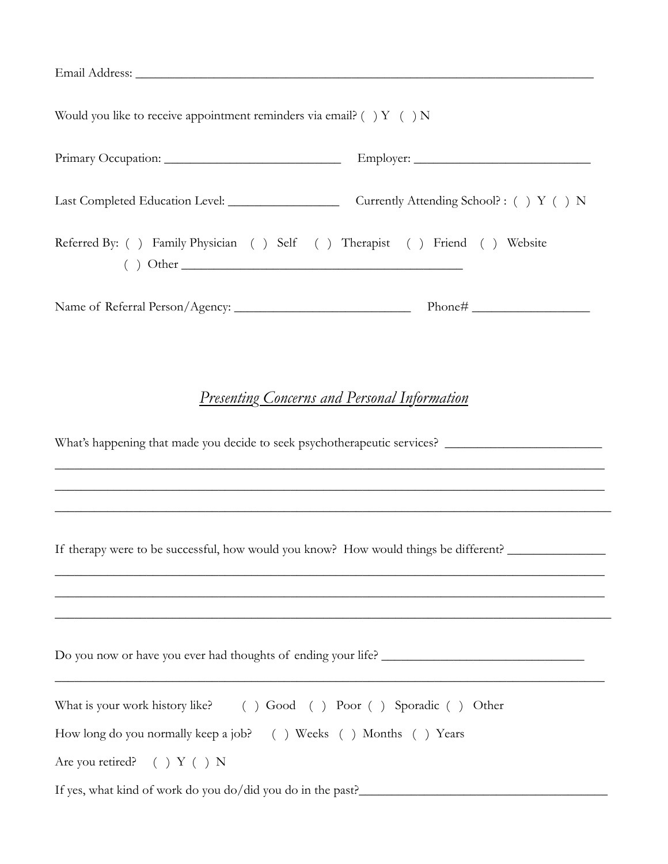Email Address: \_\_\_\_\_\_\_\_\_\_\_\_\_\_\_\_\_\_\_\_\_\_\_\_\_\_\_\_\_\_\_\_\_\_\_\_\_\_\_\_\_\_\_\_\_\_\_\_\_\_\_\_\_\_\_\_\_\_\_\_\_\_\_\_\_\_\_\_\_\_

| Would you like to receive appointment reminders via email? $( ) Y ( ) N$                             |                                                                                                                                                                       |
|------------------------------------------------------------------------------------------------------|-----------------------------------------------------------------------------------------------------------------------------------------------------------------------|
|                                                                                                      |                                                                                                                                                                       |
|                                                                                                      |                                                                                                                                                                       |
| Referred By: ( ) Family Physician ( ) Self ( ) Therapist ( ) Friend ( ) Website<br>$( )$ Other       |                                                                                                                                                                       |
|                                                                                                      |                                                                                                                                                                       |
|                                                                                                      |                                                                                                                                                                       |
| <b>Presenting Concerns and Personal Information</b>                                                  |                                                                                                                                                                       |
| What's happening that made you decide to seek psychotherapeutic services? __________________________ | ,我们也不能在这里的人,我们也不能在这里的人,我们也不能在这里的人,我们也不能在这里的人,我们也不能在这里的人,我们也不能在这里的人,我们也不能在这里的人,我们也<br>,我们也不能在这里的时候,我们也不能在这里的时候,我们也不能会在这里,我们也不能会在这里的时候,我们也不能会在这里的时候,我们也不能会在这里的时候,我们也不能会 |
| If therapy were to be successful, how would you know? How would things be different?                 |                                                                                                                                                                       |
|                                                                                                      |                                                                                                                                                                       |
| What is your work history like? () Good () Poor () Sporadic () Other                                 |                                                                                                                                                                       |
| How long do you normally keep a job? () Weeks () Months () Years                                     |                                                                                                                                                                       |
| Are you retired? ( ) Y ( ) N                                                                         |                                                                                                                                                                       |
| If yes, what kind of work do you do/did you do in the past?                                          |                                                                                                                                                                       |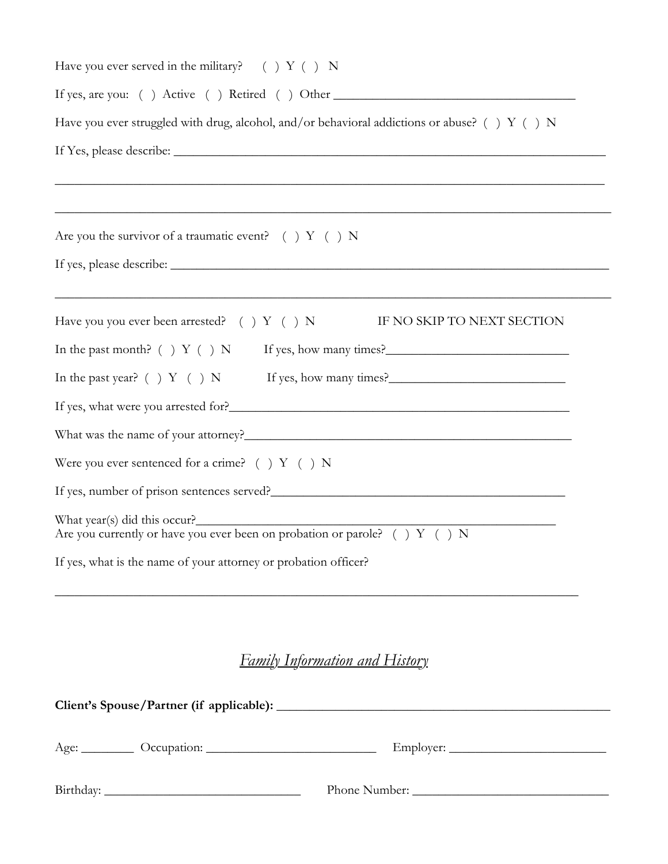| Have you ever served in the military? $( ) Y ( ) N$                                                       |
|-----------------------------------------------------------------------------------------------------------|
|                                                                                                           |
| Have you ever struggled with drug, alcohol, and/or behavioral addictions or abuse? () Y () N              |
|                                                                                                           |
|                                                                                                           |
| Are you the survivor of a traumatic event? () Y () N                                                      |
|                                                                                                           |
|                                                                                                           |
| Have you you ever been arrested? $( ) Y ( ) N$<br>IF NO SKIP TO NEXT SECTION                              |
| If yes, how many times?<br>In the past month? $( ) Y ( ) N$                                               |
| In the past year? $( ) Y ( ) N$                                                                           |
|                                                                                                           |
|                                                                                                           |
| Were you ever sentenced for a crime? $( ) Y ( ) N$                                                        |
| If yes, number of prison sentences served?                                                                |
| What year(s) did this occur?<br>Are you currently or have you ever been on probation or parole? () Y () N |
| If yes, what is the name of your attorney or probation officer?                                           |
|                                                                                                           |

# *Family Information and History*

| Client's Spouse/Partner (if applicable): |               |
|------------------------------------------|---------------|
| Age: Occupation:                         |               |
|                                          | Phone Number: |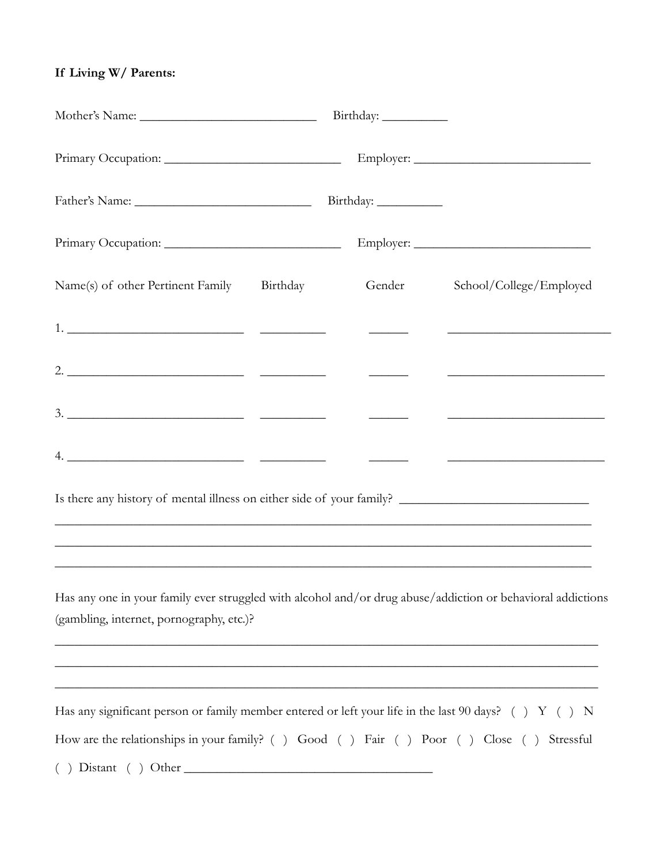#### **If Living W/ Parents:**

| Name(s) of other Pertinent Family Birthday                                                                                                                                                                | Gender                                                                                                                                                                                                                                                                                                                                                                                                                                                                     | School/College/Employed                                                                                               |
|-----------------------------------------------------------------------------------------------------------------------------------------------------------------------------------------------------------|----------------------------------------------------------------------------------------------------------------------------------------------------------------------------------------------------------------------------------------------------------------------------------------------------------------------------------------------------------------------------------------------------------------------------------------------------------------------------|-----------------------------------------------------------------------------------------------------------------------|
|                                                                                                                                                                                                           |                                                                                                                                                                                                                                                                                                                                                                                                                                                                            | <u> 1989 - Johann Harry Harry Harry Harry Harry Harry Harry Harry Harry Harry Harry Harry Harry Harry Harry Harry</u> |
| 2. $\overline{\phantom{a}}$                                                                                                                                                                               | $\sim$ 100 $\sim$                                                                                                                                                                                                                                                                                                                                                                                                                                                          | <u> Alexandria de la contrada de la contrada de la contrada de la contrada de la contrada de la contrada de la c</u>  |
|                                                                                                                                                                                                           | $\begin{array}{c} \begin{array}{c} \begin{array}{c} \begin{array}{c} \end{array} \\ \end{array} \end{array} \end{array} \end{array}$                                                                                                                                                                                                                                                                                                                                       | <u> 1989 - Johann Barnett, fransk politiker (</u>                                                                     |
|                                                                                                                                                                                                           | $\frac{1}{2} \left( \frac{1}{2} \right) \left( \frac{1}{2} \right) \left( \frac{1}{2} \right) \left( \frac{1}{2} \right) \left( \frac{1}{2} \right) \left( \frac{1}{2} \right) \left( \frac{1}{2} \right) \left( \frac{1}{2} \right) \left( \frac{1}{2} \right) \left( \frac{1}{2} \right) \left( \frac{1}{2} \right) \left( \frac{1}{2} \right) \left( \frac{1}{2} \right) \left( \frac{1}{2} \right) \left( \frac{1}{2} \right) \left( \frac{1}{2} \right) \left( \frac$ | <u> 1980 - Andrea Andrew Maria (h. 1980).</u>                                                                         |
| Is there any history of mental illness on either side of your family? ______________________________                                                                                                      |                                                                                                                                                                                                                                                                                                                                                                                                                                                                            |                                                                                                                       |
| <u> 1989 - Andrea Santa Andrea Santa Andrea Santa Andrea Santa Andrea Santa Andrea Santa Andrea Santa Andrea San</u><br>,我们也不能在这里的时候,我们也不能在这里的时候,我们也不能在这里的时候,我们也不能会在这里的时候,我们也不能会在这里的时候,我们也不能会在这里的时候,我们也不能 |                                                                                                                                                                                                                                                                                                                                                                                                                                                                            |                                                                                                                       |
| Has any one in your family ever struggled with alcohol and/or drug abuse/addiction or behavioral addictions<br>(gambling, internet, pornography, etc.)?                                                   |                                                                                                                                                                                                                                                                                                                                                                                                                                                                            | ,我们也不能在这里的人,我们也不能在这里的人,我们也不能在这里的人,我们也不能在这里的人,我们也不能在这里的人,我们也不能在这里的人,我们也不能在这里的人,我们也                                     |
| Has any significant person or family member entered or left your life in the last 90 days? () Y () N                                                                                                      |                                                                                                                                                                                                                                                                                                                                                                                                                                                                            |                                                                                                                       |
| How are the relationships in your family? () Good () Fair () Poor () Close () Stressful                                                                                                                   |                                                                                                                                                                                                                                                                                                                                                                                                                                                                            |                                                                                                                       |
| Distant ( ) Other                                                                                                                                                                                         |                                                                                                                                                                                                                                                                                                                                                                                                                                                                            |                                                                                                                       |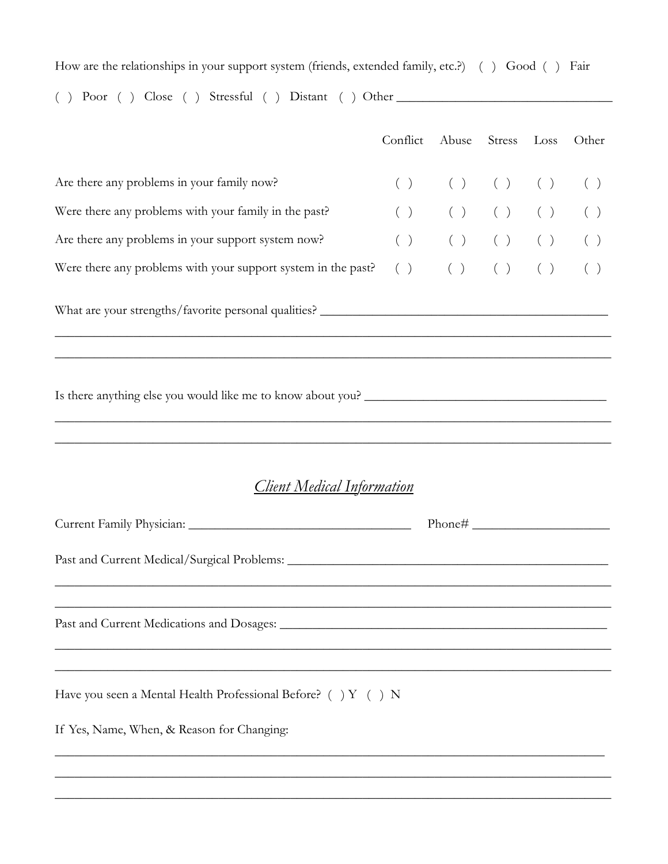How are the relationships in your support system (friends, extended family, etc.?) () Good () Fair

( ) Poor ( ) Close ( ) Stressful ( ) Distant ( ) Other \_\_\_\_\_\_\_\_\_\_\_\_\_\_\_\_\_\_\_\_\_\_\_\_\_

|                                                                                                            | Conflict | Abuse                 | Stress            | Loss | Other |
|------------------------------------------------------------------------------------------------------------|----------|-----------------------|-------------------|------|-------|
| Are there any problems in your family now?                                                                 | ( )      |                       | $( ) ( ) ( )$     |      | ( )   |
| Were there any problems with your family in the past?                                                      | ( )      |                       | $( )$ $( )$ $( )$ |      | ( )   |
| Are there any problems in your support system now?                                                         |          | $( ) ( ) ( ) ( ) ( )$ |                   |      | ( )   |
| Were there any problems with your support system in the past?                                              | ( )      |                       | $( )$ $( )$ $( )$ |      | ( )   |
|                                                                                                            |          |                       |                   |      |       |
|                                                                                                            |          |                       |                   |      |       |
| <u>Client Medical Information</u>                                                                          |          |                       |                   |      |       |
|                                                                                                            |          |                       |                   |      |       |
|                                                                                                            |          |                       |                   |      |       |
|                                                                                                            |          |                       |                   |      |       |
| Have you seen a Mental Health Professional Before? () Y () N<br>If Yes, Name, When, & Reason for Changing: |          |                       |                   |      |       |
|                                                                                                            |          |                       |                   |      |       |

\_\_\_\_\_\_\_\_\_\_\_\_\_\_\_\_\_\_\_\_\_\_\_\_\_\_\_\_\_\_\_\_\_\_\_\_\_\_\_\_\_\_\_\_\_\_\_\_\_\_\_\_\_\_\_\_\_\_\_\_\_\_\_\_\_\_\_\_\_\_\_\_\_\_\_\_\_\_\_\_\_\_\_\_\_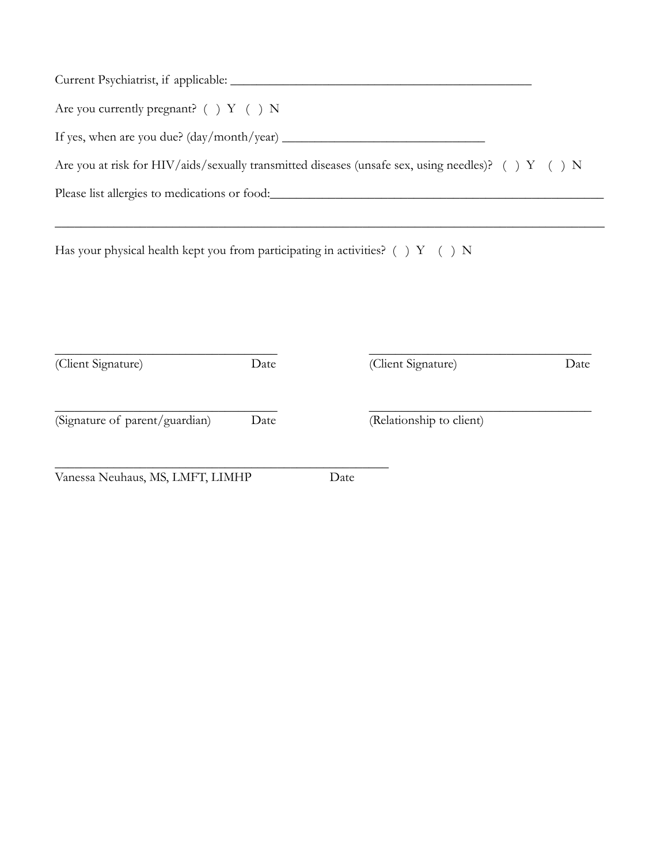| Are you currently pregnant? $( ) Y ( ) N$                                                         |
|---------------------------------------------------------------------------------------------------|
|                                                                                                   |
| Are you at risk for HIV/aids/sexually transmitted diseases (unsafe sex, using needles)? () Y () N |
|                                                                                                   |
|                                                                                                   |
| Has your physical health kept you from participating in activities? $( ) Y ( ) N$                 |
|                                                                                                   |
|                                                                                                   |
|                                                                                                   |

| (Client Signature)               | Date | (Client Signature)       | Date |
|----------------------------------|------|--------------------------|------|
| (Signature of parent/guardian)   | Date | (Relationship to client) |      |
| Vanessa Neuhaus, MS, LMFT, LIMHP |      | Date                     |      |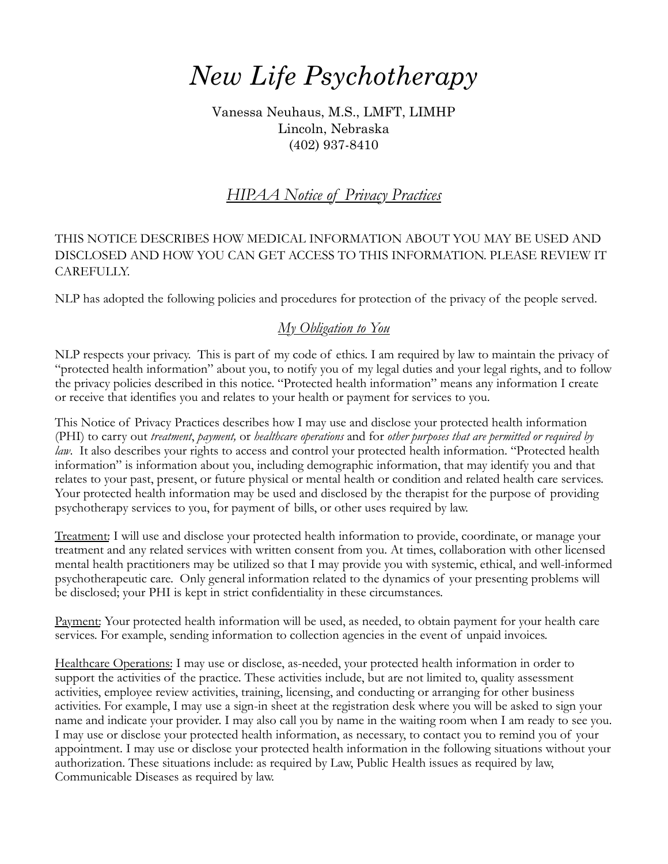Vanessa Neuhaus, M.S., LMFT, LIMHP Lincoln, Nebraska (402) 937-8410

### *HIPAA Notice of Privacy Practices*

#### THIS NOTICE DESCRIBES HOW MEDICAL INFORMATION ABOUT YOU MAY BE USED AND DISCLOSED AND HOW YOU CAN GET ACCESS TO THIS INFORMATION. PLEASE REVIEW IT CAREFULLY.

NLP has adopted the following policies and procedures for protection of the privacy of the people served.

### *My Obligation to You*

NLP respects your privacy. This is part of my code of ethics. I am required by law to maintain the privacy of "protected health information" about you, to notify you of my legal duties and your legal rights, and to follow the privacy policies described in this notice. "Protected health information" means any information I create or receive that identifies you and relates to your health or payment for services to you.

This Notice of Privacy Practices describes how I may use and disclose your protected health information (PHI) to carry out *treatment*, *payment,* or *healthcare operations* and for *other purposes that are permitted or required by law*. It also describes your rights to access and control your protected health information. "Protected health information" is information about you, including demographic information, that may identify you and that relates to your past, present, or future physical or mental health or condition and related health care services. Your protected health information may be used and disclosed by the therapist for the purpose of providing psychotherapy services to you, for payment of bills, or other uses required by law.

Treatment: I will use and disclose your protected health information to provide, coordinate, or manage your treatment and any related services with written consent from you. At times, collaboration with other licensed mental health practitioners may be utilized so that I may provide you with systemic, ethical, and well-informed psychotherapeutic care. Only general information related to the dynamics of your presenting problems will be disclosed; your PHI is kept in strict confidentiality in these circumstances.

Payment: Your protected health information will be used, as needed, to obtain payment for your health care services. For example, sending information to collection agencies in the event of unpaid invoices.

Healthcare Operations: I may use or disclose, as-needed, your protected health information in order to support the activities of the practice. These activities include, but are not limited to, quality assessment activities, employee review activities, training, licensing, and conducting or arranging for other business activities. For example, I may use a sign-in sheet at the registration desk where you will be asked to sign your name and indicate your provider. I may also call you by name in the waiting room when I am ready to see you. I may use or disclose your protected health information, as necessary, to contact you to remind you of your appointment. I may use or disclose your protected health information in the following situations without your authorization. These situations include: as required by Law, Public Health issues as required by law, Communicable Diseases as required by law.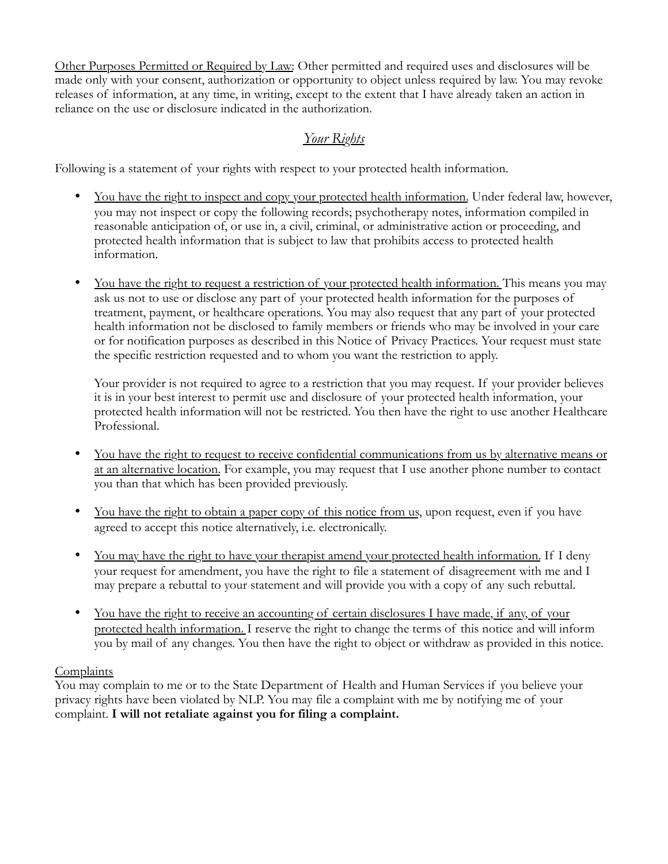Other Purposes Permitted or Required by Law: Other permitted and required uses and disclosures will be made only with your consent, authorization or opportunity to object unless required by law. You may revoke releases of information, at any time, in writing, except to the extent that I have already taken an action in reliance on the use or disclosure indicated in the authorization.

### *Your Rights*

Following is a statement of your rights with respect to your protected health information.

- You have the right to inspect and copy your protected health information. Under federal law, however, you may not inspect or copy the following records; psychotherapy notes, information compiled in reasonable anticipation of, or use in, a civil, criminal, or administrative action or proceeding, and protected health information that is subject to law that prohibits access to protected health information.
- You have the right to request a restriction of your protected health information. This means you may ask us not to use or disclose any part of your protected health information for the purposes of treatment, payment, or healthcare operations. You may also request that any part of your protected health information not be disclosed to family members or friends who may be involved in your care or for notification purposes as described in this Notice of Privacy Practices. Your request must state the specific restriction requested and to whom you want the restriction to apply.

Your provider is not required to agree to a restriction that you may request. If your provider believes it is in your best interest to permit use and disclosure of your protected health information, your protected health information will not be restricted. You then have the right to use another Healthcare Professional.

- You have the right to request to receive confidential communications from us by alternative means or at an alternative location. For example, you may request that I use another phone number to contact you than that which has been provided previously.
- You have the right to obtain a paper copy of this notice from us, upon request, even if you have agreed to accept this notice alternatively, i.e. electronically.
- You may have the right to have your therapist amend your protected health information. If I deny your request for amendment, you have the right to file a statement of disagreement with me and I may prepare a rebuttal to your statement and will provide you with a copy of any such rebuttal.
- You have the right to receive an accounting of certain disclosures I have made, if any, of your protected health information. I reserve the right to change the terms of this notice and will inform you by mail of any changes. You then have the right to object or withdraw as provided in this notice.

#### **Complaints**

You may complain to me or to the State Department of Health and Human Services if you believe your privacy rights have been violated by NLP. You may file a complaint with me by notifying me of your complaint. **I will not retaliate against you for filing a complaint.**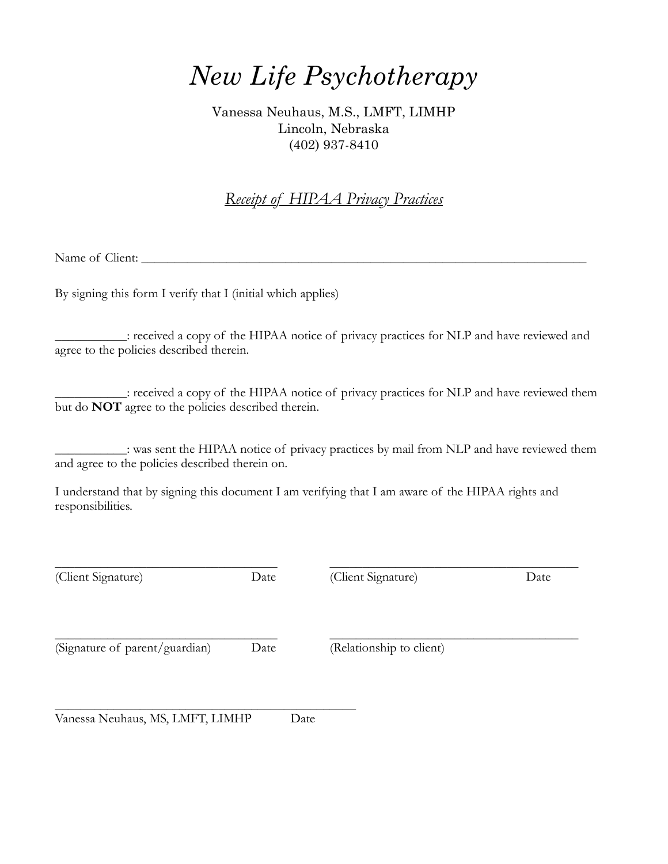#### Vanessa Neuhaus, M.S., LMFT, LIMHP Lincoln, Nebraska (402) 937-8410

## *Receipt of HIPAA Privacy Practices*

Name of Client:

By signing this form I verify that I (initial which applies)

\_\_\_\_\_\_\_\_\_\_\_: received a copy of the HIPAA notice of privacy practices for NLP and have reviewed and agree to the policies described therein.

\_\_\_\_\_\_\_\_\_\_\_: received a copy of the HIPAA notice of privacy practices for NLP and have reviewed them but do **NOT** agree to the policies described therein.

\_\_\_\_\_\_\_\_\_\_\_: was sent the HIPAA notice of privacy practices by mail from NLP and have reviewed them and agree to the policies described therein on.

I understand that by signing this document I am verifying that I am aware of the HIPAA rights and responsibilities.

| (Client Signature)               | Date | (Client Signature)       | Date |
|----------------------------------|------|--------------------------|------|
| (Signature of parent/guardian)   | Date | (Relationship to client) |      |
| Vanessa Neuhaus, MS, LMFT, LIMHP |      | Date                     |      |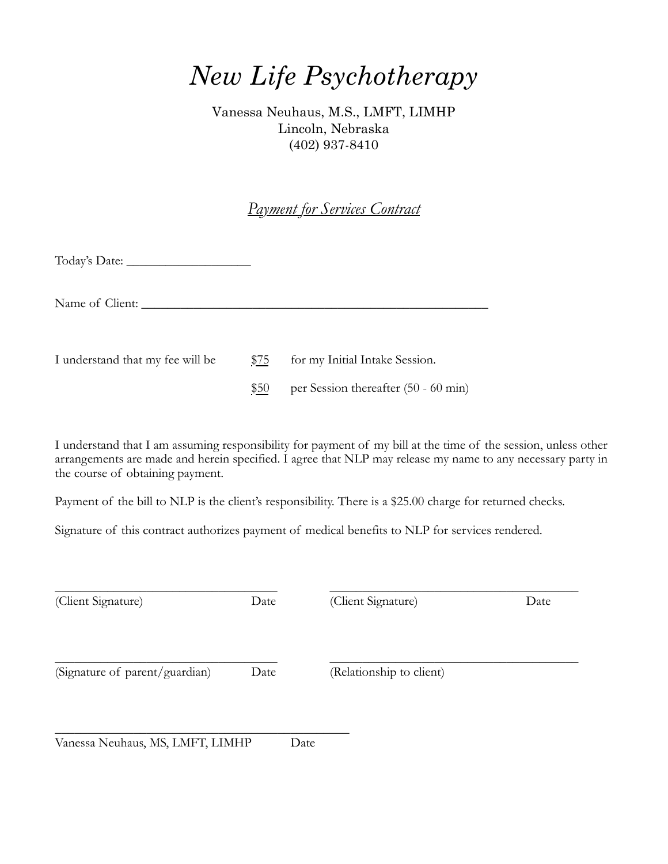Vanessa Neuhaus, M.S., LMFT, LIMHP Lincoln, Nebraska (402) 937-8410

*Payment for Services Contract*

Today's Date: \_\_\_\_\_\_\_\_\_\_\_\_\_\_\_\_\_\_\_

Name of Client:

| I understand that my fee will be |      | \$75 for my Initial Intake Session.  |
|----------------------------------|------|--------------------------------------|
|                                  | \$50 | per Session thereafter (50 - 60 min) |

I understand that I am assuming responsibility for payment of my bill at the time of the session, unless other arrangements are made and herein specified. I agree that NLP may release my name to any necessary party in the course of obtaining payment.

Payment of the bill to NLP is the client's responsibility. There is a \$25.00 charge for returned checks.

Signature of this contract authorizes payment of medical benefits to NLP for services rendered.

| (Client Signature)               | Date | (Client Signature)       | Date |
|----------------------------------|------|--------------------------|------|
| (Signature of parent/guardian)   | Date | (Relationship to client) |      |
| Vanessa Neuhaus, MS, LMFT, LIMHP |      | Date                     |      |